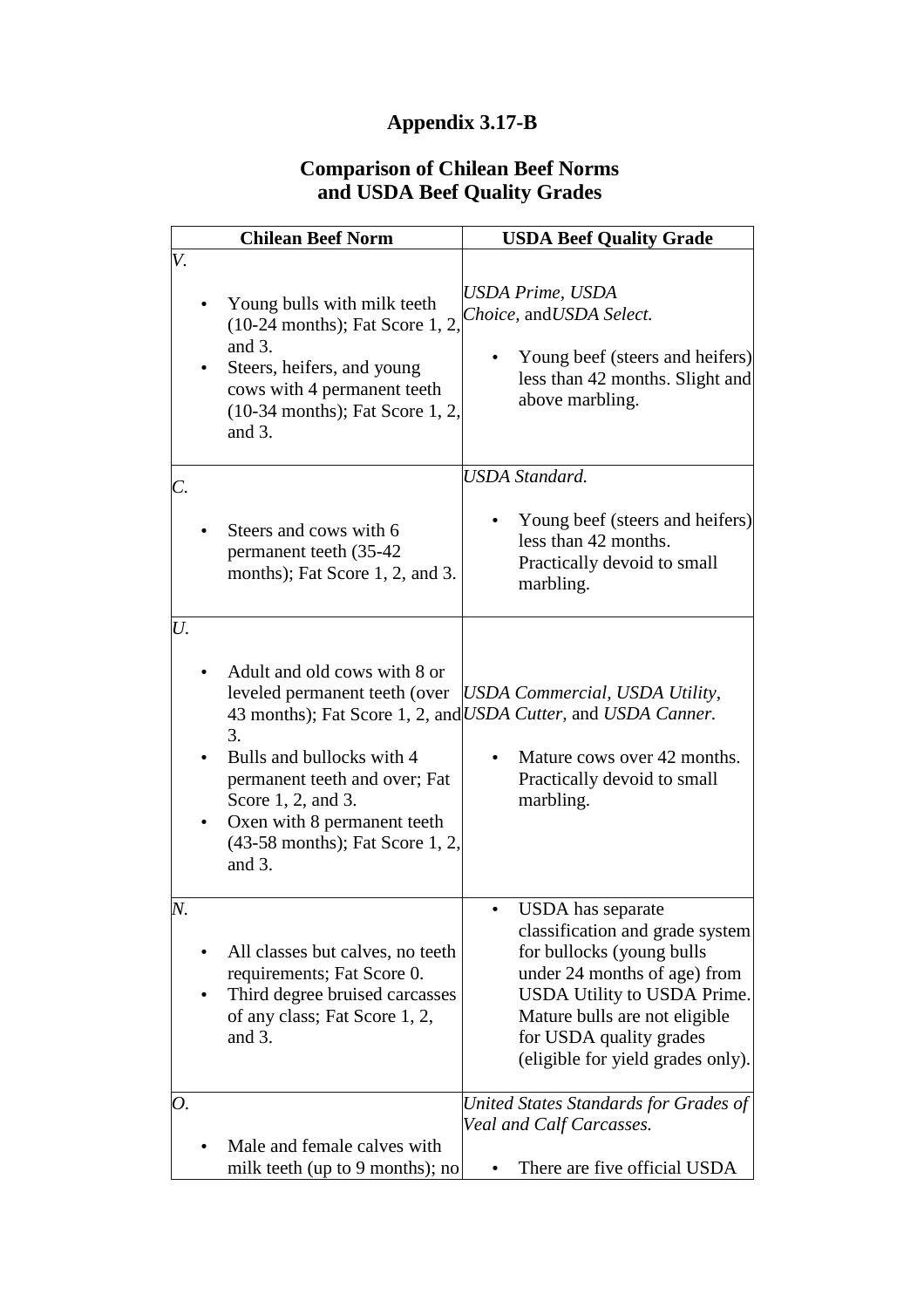## **Appendix 3.17-B**

## **Comparison of Chilean Beef Norms and USDA Beef Quality Grades**

| <b>Chilean Beef Norm</b>                                                                                                                                                                                                                  | <b>USDA Beef Quality Grade</b>                                                                                                                                                                                                                    |
|-------------------------------------------------------------------------------------------------------------------------------------------------------------------------------------------------------------------------------------------|---------------------------------------------------------------------------------------------------------------------------------------------------------------------------------------------------------------------------------------------------|
| V.<br>Young bulls with milk teeth<br>$(10-24$ months); Fat Score 1, 2.<br>and 3.<br>Steers, heifers, and young<br>cows with 4 permanent teeth<br>(10-34 months); Fat Score 1, 2,<br>and $3$ .                                             | USDA Prime, USDA<br>Choice, and USDA Select.<br>Young beef (steers and heifers)<br>less than 42 months. Slight and<br>above marbling.                                                                                                             |
| C.<br>Steers and cows with 6<br>permanent teeth (35-42)<br>months); Fat Score 1, 2, and 3.                                                                                                                                                | <b>USDA</b> Standard.<br>Young beef (steers and heifers)<br>less than 42 months.<br>Practically devoid to small<br>marbling.                                                                                                                      |
| U.<br>Adult and old cows with 8 or<br>leveled permanent teeth (over<br>3.<br>Bulls and bullocks with 4<br>permanent teeth and over; Fat<br>Score 1, 2, and 3.<br>Oxen with 8 permanent teeth<br>(43-58 months); Fat Score 1, 2,<br>and 3. | <b>USDA Commercial, USDA Utility,</b><br>43 months); Fat Score 1, 2, and USDA Cutter, and USDA Canner.<br>Mature cows over 42 months.<br>Practically devoid to small<br>marbling.                                                                 |
| N.<br>All classes but calves, no teeth<br>requirements; Fat Score 0.<br>Third degree bruised carcasses<br>of any class; Fat Score 1, 2,<br>and $3$ .                                                                                      | USDA has separate<br>classification and grade system<br>for bullocks (young bulls<br>under 24 months of age) from<br>USDA Utility to USDA Prime.<br>Mature bulls are not eligible<br>for USDA quality grades<br>(eligible for yield grades only). |
| 0.<br>Male and female calves with<br>milk teeth (up to 9 months); no                                                                                                                                                                      | United States Standards for Grades of<br>Veal and Calf Carcasses.<br>There are five official USDA                                                                                                                                                 |